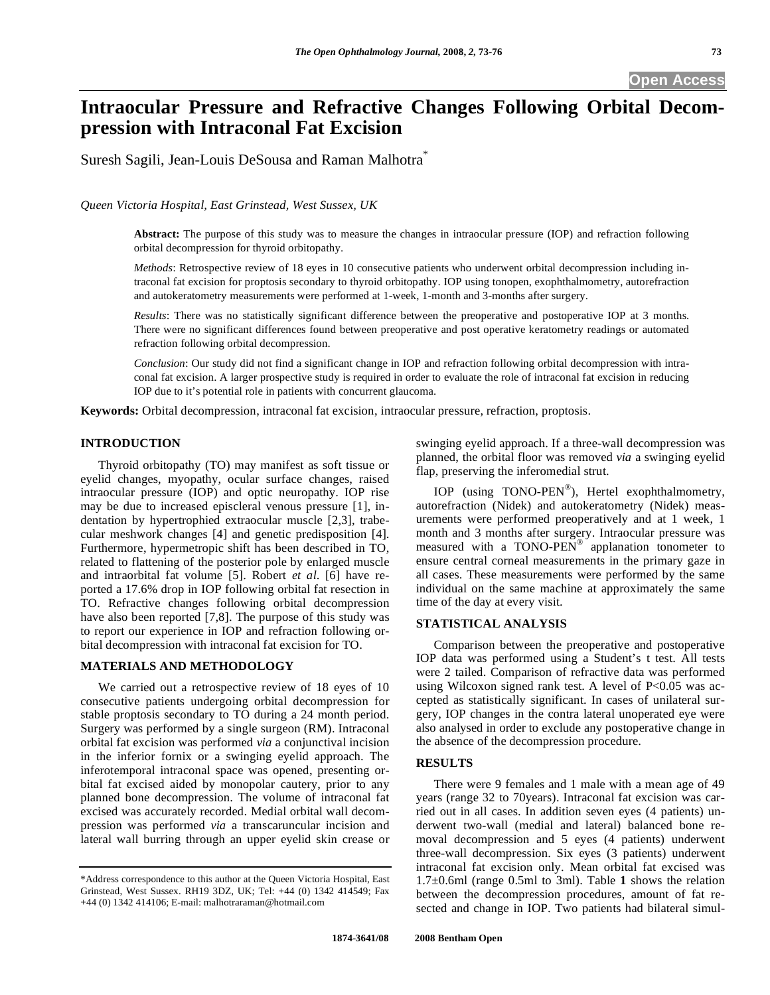## **Open Access**

# **Intraocular Pressure and Refractive Changes Following Orbital Decompression with Intraconal Fat Excision**

Suresh Sagili, Jean-Louis DeSousa and Raman Malhotra\*

*Queen Victoria Hospital, East Grinstead, West Sussex, UK* 

**Abstract:** The purpose of this study was to measure the changes in intraocular pressure (IOP) and refraction following orbital decompression for thyroid orbitopathy.

*Methods*: Retrospective review of 18 eyes in 10 consecutive patients who underwent orbital decompression including intraconal fat excision for proptosis secondary to thyroid orbitopathy. IOP using tonopen, exophthalmometry, autorefraction and autokeratometry measurements were performed at 1-week, 1-month and 3-months after surgery.

*Results*: There was no statistically significant difference between the preoperative and postoperative IOP at 3 months. There were no significant differences found between preoperative and post operative keratometry readings or automated refraction following orbital decompression.

*Conclusion*: Our study did not find a significant change in IOP and refraction following orbital decompression with intraconal fat excision. A larger prospective study is required in order to evaluate the role of intraconal fat excision in reducing IOP due to it's potential role in patients with concurrent glaucoma.

**Keywords:** Orbital decompression, intraconal fat excision, intraocular pressure, refraction, proptosis.

### **INTRODUCTION**

 Thyroid orbitopathy (TO) may manifest as soft tissue or eyelid changes, myopathy, ocular surface changes, raised intraocular pressure (IOP) and optic neuropathy. IOP rise may be due to increased episcleral venous pressure [1], indentation by hypertrophied extraocular muscle [2,3], trabecular meshwork changes [4] and genetic predisposition [4]. Furthermore, hypermetropic shift has been described in TO, related to flattening of the posterior pole by enlarged muscle and intraorbital fat volume [5]. Robert *et al*. [6] have reported a 17.6% drop in IOP following orbital fat resection in TO. Refractive changes following orbital decompression have also been reported [7,8]. The purpose of this study was to report our experience in IOP and refraction following orbital decompression with intraconal fat excision for TO.

#### **MATERIALS AND METHODOLOGY**

 We carried out a retrospective review of 18 eyes of 10 consecutive patients undergoing orbital decompression for stable proptosis secondary to TO during a 24 month period. Surgery was performed by a single surgeon (RM). Intraconal orbital fat excision was performed *via* a conjunctival incision in the inferior fornix or a swinging eyelid approach. The inferotemporal intraconal space was opened, presenting orbital fat excised aided by monopolar cautery, prior to any planned bone decompression. The volume of intraconal fat excised was accurately recorded. Medial orbital wall decompression was performed *via* a transcaruncular incision and lateral wall burring through an upper eyelid skin crease or

swinging eyelid approach. If a three-wall decompression was planned, the orbital floor was removed *via* a swinging eyelid flap, preserving the inferomedial strut.

 IOP (using TONO-PEN®), Hertel exophthalmometry, autorefraction (Nidek) and autokeratometry (Nidek) measurements were performed preoperatively and at 1 week, 1 month and 3 months after surgery. Intraocular pressure was measured with a TONO-PEN® applanation tonometer to ensure central corneal measurements in the primary gaze in all cases. These measurements were performed by the same individual on the same machine at approximately the same time of the day at every visit.

#### **STATISTICAL ANALYSIS**

 Comparison between the preoperative and postoperative IOP data was performed using a Student's t test. All tests were 2 tailed. Comparison of refractive data was performed using Wilcoxon signed rank test. A level of  $P<0.05$  was accepted as statistically significant. In cases of unilateral surgery, IOP changes in the contra lateral unoperated eye were also analysed in order to exclude any postoperative change in the absence of the decompression procedure.

#### **RESULTS**

 There were 9 females and 1 male with a mean age of 49 years (range 32 to 70years). Intraconal fat excision was carried out in all cases. In addition seven eyes (4 patients) underwent two-wall (medial and lateral) balanced bone removal decompression and 5 eyes (4 patients) underwent three-wall decompression. Six eyes (3 patients) underwent intraconal fat excision only. Mean orbital fat excised was 1.7±0.6ml (range 0.5ml to 3ml). Table **1** shows the relation between the decompression procedures, amount of fat resected and change in IOP. Two patients had bilateral simul-

<sup>\*</sup>Address correspondence to this author at the Queen Victoria Hospital, East Grinstead, West Sussex. RH19 3DZ, UK; Tel: +44 (0) 1342 414549; Fax +44 (0) 1342 414106; E-mail: malhotraraman@hotmail.com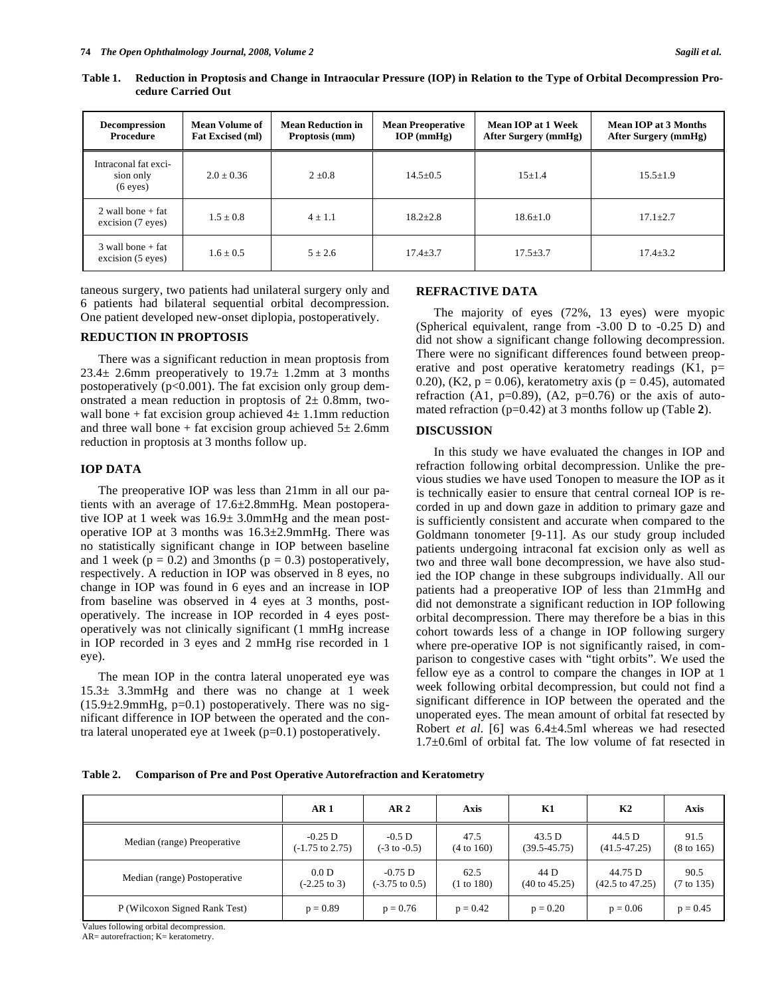| <b>Decompression</b><br>Procedure               | Mean Volume of<br><b>Fat Excised (ml)</b> | <b>Mean Reduction in</b><br>Proptosis (mm) | <b>Mean Preoperative</b><br>$IOP$ (mmHg) | Mean IOP at 1 Week<br>After Surgery (mmHg) | Mean IOP at 3 Months<br>After Surgery (mmHg) |  |
|-------------------------------------------------|-------------------------------------------|--------------------------------------------|------------------------------------------|--------------------------------------------|----------------------------------------------|--|
| Intraconal fat exci-<br>sion only<br>$(6$ eyes) | $2.0 + 0.36$                              | $2 + 0.8$                                  | $14.5 + 0.5$                             | $15+1.4$                                   | $15.5 + 1.9$                                 |  |
| $2$ wall bone + fat<br>excision (7 eyes)        | $1.5 + 0.8$                               | $4 \pm 1.1$                                | $18.2 + 2.8$                             | $18.6 \pm 1.0$                             | $17.1 + 2.7$                                 |  |
| $3$ wall bone + fat<br>excision (5 eyes)        | $1.6 + 0.5$                               | $5 + 2.6$                                  | $17.4 + 3.7$                             | $17.5 + 3.7$                               | $17.4 + 3.2$                                 |  |

**Table 1. Reduction in Proptosis and Change in Intraocular Pressure (IOP) in Relation to the Type of Orbital Decompression Procedure Carried Out** 

taneous surgery, two patients had unilateral surgery only and 6 patients had bilateral sequential orbital decompression. One patient developed new-onset diplopia, postoperatively.

#### **REDUCTION IN PROPTOSIS**

 There was a significant reduction in mean proptosis from  $23.4 \pm 2.6$ mm preoperatively to  $19.7 \pm 1.2$ mm at 3 months postoperatively  $(p<0.001)$ . The fat excision only group demonstrated a mean reduction in proptosis of  $2\pm$  0.8mm, twowall bone + fat excision group achieved  $4 \pm 1.1$ mm reduction and three wall bone + fat excision group achieved  $5\pm$  2.6mm reduction in proptosis at 3 months follow up.

#### **IOP DATA**

 The preoperative IOP was less than 21mm in all our patients with an average of 17.6±2.8mmHg. Mean postoperative IOP at 1 week was 16.9± 3.0mmHg and the mean postoperative IOP at 3 months was 16.3±2.9mmHg. There was no statistically significant change in IOP between baseline and 1 week ( $p = 0.2$ ) and 3months ( $p = 0.3$ ) postoperatively, respectively. A reduction in IOP was observed in 8 eyes, no change in IOP was found in 6 eyes and an increase in IOP from baseline was observed in 4 eyes at 3 months, postoperatively. The increase in IOP recorded in 4 eyes postoperatively was not clinically significant (1 mmHg increase in IOP recorded in 3 eyes and 2 mmHg rise recorded in 1 eye).

 The mean IOP in the contra lateral unoperated eye was 15.3± 3.3mmHg and there was no change at 1 week  $(15.9\pm 2.9$ mmHg, p=0.1) postoperatively. There was no significant difference in IOP between the operated and the contra lateral unoperated eye at 1week (p=0.1) postoperatively.

#### **REFRACTIVE DATA**

 The majority of eyes (72%, 13 eyes) were myopic (Spherical equivalent, range from -3.00 D to -0.25 D) and did not show a significant change following decompression. There were no significant differences found between preoperative and post operative keratometry readings  $(K1, p=$ 0.20), (K2,  $p = 0.06$ ), keratometry axis ( $p = 0.45$ ), automated refraction (A1,  $p=0.89$ ), (A2,  $p=0.76$ ) or the axis of automated refraction (p=0.42) at 3 months follow up (Table **2**).

#### **DISCUSSION**

 In this study we have evaluated the changes in IOP and refraction following orbital decompression. Unlike the previous studies we have used Tonopen to measure the IOP as it is technically easier to ensure that central corneal IOP is recorded in up and down gaze in addition to primary gaze and is sufficiently consistent and accurate when compared to the Goldmann tonometer [9-11]. As our study group included patients undergoing intraconal fat excision only as well as two and three wall bone decompression, we have also studied the IOP change in these subgroups individually. All our patients had a preoperative IOP of less than 21mmHg and did not demonstrate a significant reduction in IOP following orbital decompression. There may therefore be a bias in this cohort towards less of a change in IOP following surgery where pre-operative IOP is not significantly raised, in comparison to congestive cases with "tight orbits". We used the fellow eye as a control to compare the changes in IOP at 1 week following orbital decompression, but could not find a significant difference in IOP between the operated and the unoperated eyes. The mean amount of orbital fat resected by Robert *et al*. [6] was 6.4±4.5ml whereas we had resected 1.7±0.6ml of orbital fat. The low volume of fat resected in

**Table 2. Comparison of Pre and Post Operative Autorefraction and Keratometry** 

|                               | AR <sub>1</sub>            | AR <sub>2</sub>           | <b>Axis</b>           | K1                       | K <sub>2</sub>             | <b>Axis</b>           |
|-------------------------------|----------------------------|---------------------------|-----------------------|--------------------------|----------------------------|-----------------------|
| Median (range) Preoperative   | $-0.25$ D                  | $-0.5$ D                  | 47.5                  | 43.5 D                   | 44.5 D                     | 91.5                  |
|                               | $(-1.75 \text{ to } 2.75)$ | $(-3 \text{ to } -0.5)$   | $(4 \text{ to } 160)$ | $(39.5 - 45.75)$         | $(41.5 - 47.25)$           | $(8 \text{ to } 165)$ |
| Median (range) Postoperative  | 0.0 D                      | $-0.75$ D                 | 62.5                  | 44 D                     | 44.75 D                    | 90.5                  |
|                               | $(-2.25 \text{ to } 3)$    | $(-3.75 \text{ to } 0.5)$ | (1 to 180)            | $(40 \text{ to } 45.25)$ | $(42.5 \text{ to } 47.25)$ | $(7 \text{ to } 135)$ |
| P (Wilcoxon Signed Rank Test) | $p = 0.89$                 | $p = 0.76$                | $p = 0.42$            | $p = 0.20$               | $p = 0.06$                 | $p = 0.45$            |

Values following orbital decompression.

 $AR$ = autorefraction;  $K$ = keratometry.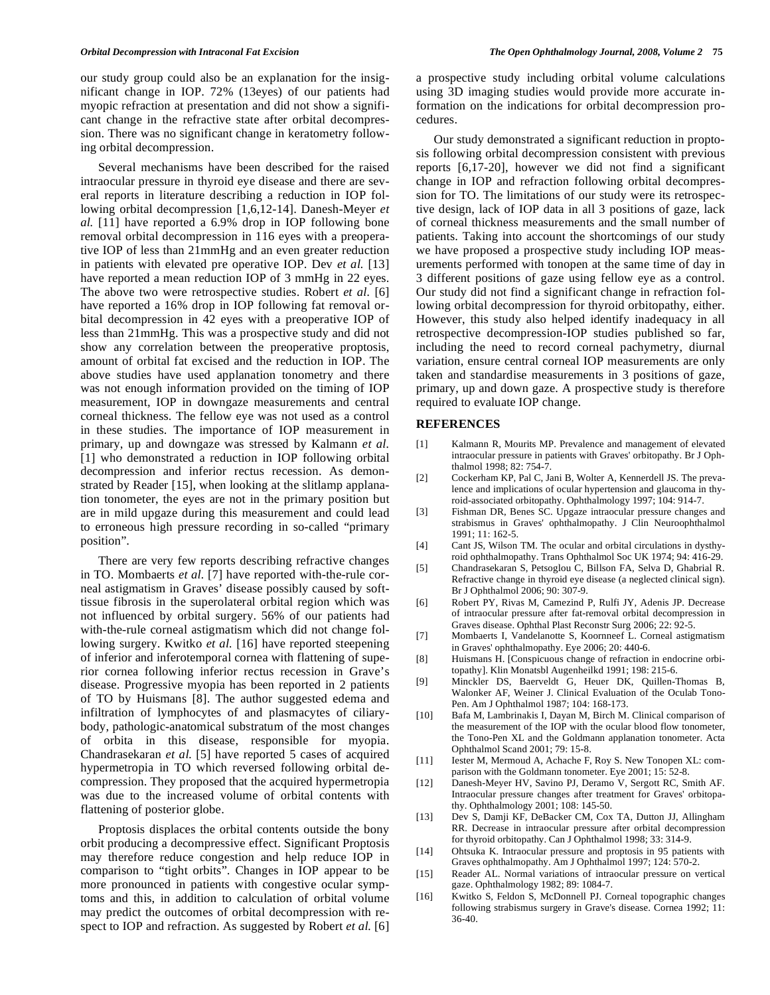our study group could also be an explanation for the insignificant change in IOP. 72% (13eyes) of our patients had myopic refraction at presentation and did not show a significant change in the refractive state after orbital decompression. There was no significant change in keratometry following orbital decompression.

 Several mechanisms have been described for the raised intraocular pressure in thyroid eye disease and there are several reports in literature describing a reduction in IOP following orbital decompression [1,6,12-14]. Danesh-Meyer *et al.* [11] have reported a 6.9% drop in IOP following bone removal orbital decompression in 116 eyes with a preoperative IOP of less than 21mmHg and an even greater reduction in patients with elevated pre operative IOP. Dev *et al.* [13] have reported a mean reduction IOP of 3 mmHg in 22 eyes. The above two were retrospective studies. Robert *et al.* [6] have reported a 16% drop in IOP following fat removal orbital decompression in 42 eyes with a preoperative IOP of less than 21mmHg. This was a prospective study and did not show any correlation between the preoperative proptosis, amount of orbital fat excised and the reduction in IOP. The above studies have used applanation tonometry and there was not enough information provided on the timing of IOP measurement, IOP in downgaze measurements and central corneal thickness. The fellow eye was not used as a control in these studies. The importance of IOP measurement in primary, up and downgaze was stressed by Kalmann *et al.*  [1] who demonstrated a reduction in IOP following orbital decompression and inferior rectus recession. As demonstrated by Reader [15], when looking at the slitlamp applanation tonometer, the eyes are not in the primary position but are in mild upgaze during this measurement and could lead to erroneous high pressure recording in so-called "primary position".

 There are very few reports describing refractive changes in TO. Mombaerts *et al.* [7] have reported with-the-rule corneal astigmatism in Graves' disease possibly caused by softtissue fibrosis in the superolateral orbital region which was not influenced by orbital surgery. 56% of our patients had with-the-rule corneal astigmatism which did not change following surgery. Kwitko et al. [16] have reported steepening of inferior and inferotemporal cornea with flattening of superior cornea following inferior rectus recession in Grave's disease. Progressive myopia has been reported in 2 patients of TO by Huismans [8]. The author suggested edema and infiltration of lymphocytes of and plasmacytes of ciliarybody, pathologic-anatomical substratum of the most changes of orbita in this disease, responsible for myopia. Chandrasekaran *et al.* [5] have reported 5 cases of acquired hypermetropia in TO which reversed following orbital decompression. They proposed that the acquired hypermetropia was due to the increased volume of orbital contents with flattening of posterior globe.

 Proptosis displaces the orbital contents outside the bony orbit producing a decompressive effect. Significant Proptosis may therefore reduce congestion and help reduce IOP in comparison to "tight orbits". Changes in IOP appear to be more pronounced in patients with congestive ocular symptoms and this, in addition to calculation of orbital volume may predict the outcomes of orbital decompression with respect to IOP and refraction. As suggested by Robert *et al.* [6]

a prospective study including orbital volume calculations using 3D imaging studies would provide more accurate information on the indications for orbital decompression procedures.

 Our study demonstrated a significant reduction in proptosis following orbital decompression consistent with previous reports [6,17-20], however we did not find a significant change in IOP and refraction following orbital decompression for TO. The limitations of our study were its retrospective design, lack of IOP data in all 3 positions of gaze, lack of corneal thickness measurements and the small number of patients. Taking into account the shortcomings of our study we have proposed a prospective study including IOP measurements performed with tonopen at the same time of day in 3 different positions of gaze using fellow eye as a control. Our study did not find a significant change in refraction following orbital decompression for thyroid orbitopathy, either. However, this study also helped identify inadequacy in all retrospective decompression-IOP studies published so far, including the need to record corneal pachymetry, diurnal variation, ensure central corneal IOP measurements are only taken and standardise measurements in 3 positions of gaze, primary, up and down gaze. A prospective study is therefore required to evaluate IOP change.

#### **REFERENCES**

- [1] Kalmann R, Mourits MP. Prevalence and management of elevated intraocular pressure in patients with Graves' orbitopathy. Br J Ophthalmol 1998; 82: 754-7.
- [2] Cockerham KP, Pal C, Jani B, Wolter A, Kennerdell JS. The prevalence and implications of ocular hypertension and glaucoma in thyroid-associated orbitopathy. Ophthalmology 1997; 104: 914-7.
- [3] Fishman DR, Benes SC. Upgaze intraocular pressure changes and strabismus in Graves' ophthalmopathy. J Clin Neuroophthalmol 1991; 11: 162-5.
- [4] Cant JS, Wilson TM. The ocular and orbital circulations in dysthyroid ophthalmopathy. Trans Ophthalmol Soc UK 1974; 94: 416-29.
- [5] Chandrasekaran S, Petsoglou C, Billson FA, Selva D, Ghabrial R. Refractive change in thyroid eye disease (a neglected clinical sign). Br J Ophthalmol 2006; 90: 307-9.
- [6] Robert PY, Rivas M, Camezind P, Rulfi JY, Adenis JP. Decrease of intraocular pressure after fat-removal orbital decompression in Graves disease. Ophthal Plast Reconstr Surg 2006; 22: 92-5.
- [7] Mombaerts I, Vandelanotte S, Koornneef L. Corneal astigmatism in Graves' ophthalmopathy. Eye 2006; 20: 440-6.
- [8] Huismans H. [Conspicuous change of refraction in endocrine orbitopathy]. Klin Monatsbl Augenheilkd 1991; 198: 215-6.
- [9] Minckler DS, Baerveldt G, Heuer DK, Quillen-Thomas B, Walonker AF, Weiner J. Clinical Evaluation of the Oculab Tono-Pen. Am J Ophthalmol 1987; 104: 168-173.
- [10] Bafa M, Lambrinakis I, Dayan M, Birch M. Clinical comparison of the measurement of the IOP with the ocular blood flow tonometer, the Tono-Pen XL and the Goldmann applanation tonometer. Acta Ophthalmol Scand 2001; 79: 15-8.
- [11] Iester M, Mermoud A, Achache F, Roy S. New Tonopen XL: comparison with the Goldmann tonometer. Eye 2001; 15: 52-8.
- [12] Danesh-Meyer HV, Savino PJ, Deramo V, Sergott RC, Smith AF. Intraocular pressure changes after treatment for Graves' orbitopathy. Ophthalmology 2001; 108: 145-50.
- [13] Dev S, Damji KF, DeBacker CM, Cox TA, Dutton JJ, Allingham RR. Decrease in intraocular pressure after orbital decompression for thyroid orbitopathy. Can J Ophthalmol 1998; 33: 314-9.
- [14] Ohtsuka K. Intraocular pressure and proptosis in 95 patients with Graves ophthalmopathy. Am J Ophthalmol 1997; 124: 570-2.
- [15] Reader AL. Normal variations of intraocular pressure on vertical gaze. Ophthalmology 1982; 89: 1084-7.
- [16] Kwitko S, Feldon S, McDonnell PJ. Corneal topographic changes following strabismus surgery in Grave's disease. Cornea 1992; 11: 36-40.